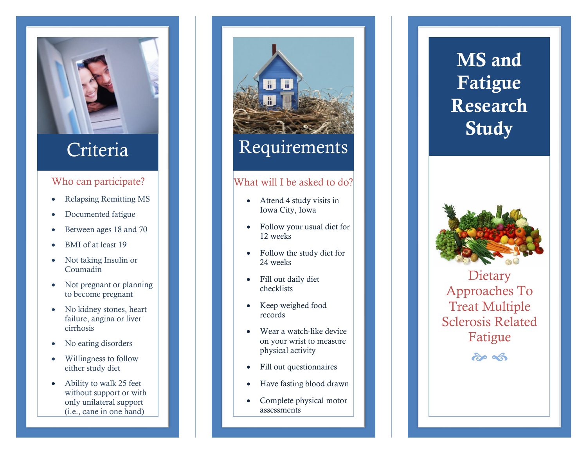

## Who can participate?

- Relapsing Remitting MS
- Documented fatigue
- Between ages 18 and 70
- BMI of at least 19
- Not taking Insulin or Coumadin
- Not pregnant or planning to become pregnant
- No kidney stones, heart failure, angina or liver cirrhosis
- No eating disorders
- Willingness to follow either study diet
- Ability to walk 25 feet without support or with only unilateral support (i.e., cane in one hand)

# H Criteria Requirements

## What will I be asked to do?

- Attend 4 study visits in Iowa City, Iowa
- Follow your usual diet for 12 weeks
- Follow the study diet for 24 weeks
- Fill out daily diet checklists
- Keep weighed food records
- Wear a watch-like device on your wrist to measure physical activity
- Fill out questionnaires
- Have fasting blood draw n
- Complete physical motor assessments

## MS and Fatigue Research Study



Dietary Approaches To Treat Multiple Sclerosis Related Fatigue

 $209$